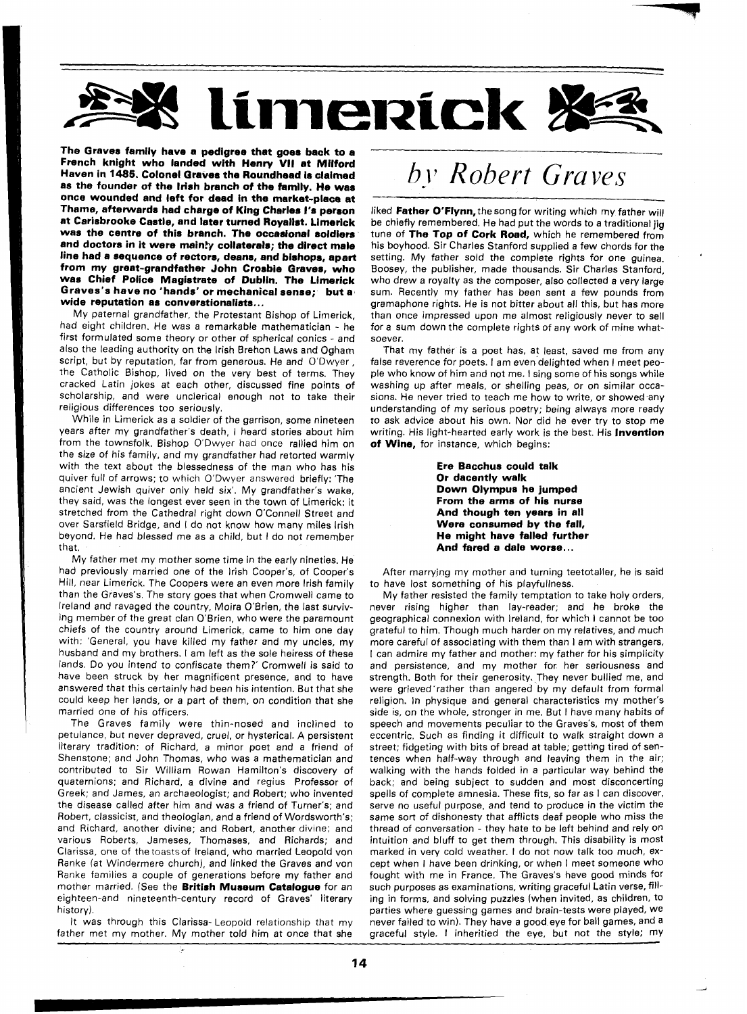# limerick **X**

**The Graves family have a pedigree that goes back to a French knight who landed with Henry VII at Mllford Haven in 1485. Colonel Graves the Roundhead is claimed as the founder of the lrish branch of the family. He was once wounded and left for dead in the market-place at Thame, afterwards had charge of King Charles l's person at Carisbrooke Castle, and later turned Royalist. Limerick was the centre of this branch. The occasional soldiers**  and doctors in it were mainly collaterals; the direct male **line had a sequence of rectors, deans, and bishops, apart from my great-grandfather John Crosbie Graves, who was Chief Police Magistrate of Dublin. The Limerick Graves's have no 'hands' or mechanical sense; but a'** 

**wide reputation as converstionalists..** . My paternal grandfather, the Protestant Bishop of Limerick, had eight children. He was a remarkable mathematician - he first formulated some theory or other of spherical conics - and also the leading authority on the lrish Brehon Laws and Ogham script, but by reputation, far from generous. He and O'Dwyer , the Catholic Bishop, lived on the very best of terms. They cracked Latin jokes at each other, discussed fine points of scholarship, and were unclerical enough not to take their religious differences too seriously.

While in Limerick as a soldier of the garrison, some nineteen years after my grandfather's death, I heard stories about him from the townsfolk. Bishop O'Dwyer had once rallied him on the size of his family, and my grandfather had retorted warmly with the text about the blessedness of the man who has his quiver full of arrows; to which O'Dwyer answered briefly: 'The ancient Jewish quiver only held six'. My grandfather's wake, they said, was the longest ever seen in the town of Limerick: it stretched from the Cathedral right down O'Connell Street and over Sarsfield Bridge, and I do not know how many miles lrish beyond. He had blessed me as a child, but I do not remember that.

My father met my mother some time in the early nineties. He had previously married one of the lrish Cooper's, of Cooper's Hill, near Limerick. The Coopers were an even more lrish family than the Graves's. The story goes that when Cromwell came to Ireland and ravaged the country, Moira O'Brien, the last surviving member of the great clan O'Brien, who were the paramount chiefs of the country around Limerick, came to him one day with: 'General, you have killed my father and my uncles, my husband and my brothers. I am left as the sole heiress of these lands. Do you intend to confiscate them?' Cromwell is said to have been struck by her magnificent presence, and to have answered that this certainly had been his intention. But that she could keep her lands, or a part of them, on condition that she married one of his officers.

The Graves family were thin-nosed and inclined to petulance, but never depraved, cruel, or hysterical. A persistent literary tradition: of Richard, a minor poet and a friend of Shenstone; and John Thomas, who was a mathematician and contributed to Sir William Rowan Hamilton's discovery of quaternions; and Richard, a divine and regius Professor of Greek; and James, an archaeologist; and Robert; who invented the disease called after him and was a friend of Turner's; and Robert, classicist, and theologian, and a friend of Wordsworth's; and Richard, another divine; and Robert, another divine; and various Roberts, Jameses, Thomases, and Richards; and Clarissa, one of the toastsof Ireland, who married Leopold von Ranke (at Windermere church), and linked the Graves and von Ranke families a couple of generations before my father and mother married. (See the **British Museum Catalogue** for an eighteen-and nineteenth-century record of Graves' literary history).

It was through this Clarissa- Leopold relationship that my father met my mother. My mother told him at once that she

## *by Rohert Graves*

liked **Father O'Flynn,** the song for writing which my father will be chiefly remembered. He had put the words to a traditional jig tune of **The Top of Cork Road,** which he remembered from his boyhood. Sir Charles Stanford supplied a few chords for the setting. My father sold the complete rights for one guinea. Boosey, the publisher, made thousands. Sir Charles Stanford, who drew a royalty as the composer, also collected a very large sum. Recently my father has been sent a few pounds from gramaphone rights. He is not bitter about all this, but has more than once impressed upon me almost religiously never to sell for a sum down the complete rights of any work of mine whatsoever.

That my father is a poet has, at least, saved me from any false reverence for poets. I am even delighted when I meet people who know of him and not me. I sing some of his songs while washing up after meals, or shelling peas, or on similar occasions. He never tried to teach me how to write, or showed any understanding of my serious poetry; being always more ready to ask advice about his own. Nor did he ever try to stop me writing. His light-hearted early work is the best. His **Invention of Wine,** for instance, which begins:

> **Ere Bacchus could talk Or dacently walk Down Olympus he jumped From the arms of his nurse And though ten years in all Were consumed by the fall, He might have falled further And fared a dale worse.** ..

After marrying my mother and turning teetotaller, he is said to have lost something of his playfullness.

My father resisted the family temptation to take holy orders, never rising higher than lay-reader; and he broke the geographical connexion with Ireland, for which I cannot be too grateful to him. Though much harder on my relatives, and much more careful of associating with them than I am with strangers, I can admire my father and mother: my father for his simplicity and persistence, and my mother for her seriousness and strength. Both for their generosity. They never bullied me, and were grieved'rather than angered by my default from formal religion. In physique and general characteristics my mother's side is, on the whole, stronger in me. But I have many habits of speech and movements peculiar to the Graves's, most of them eccentric. Such as finding it difficult to walk straight down a street; fidgeting with bits of bread at table; getting tired of sentences when half-way through and leaving them in the air; walking with the hands folded in a particular way behind the back; and being subject to sudden and most disconcerting spells of complete amnesia. These fits, so far as I can discover, serve no useful purpose, and tend to produce in the victim the same sort of dishonesty that afflicts deaf people who miss the thread of conversation - they hate to be left behind and rely on intuition and bluff to get them through. This disability is most marked in very cold weather. I do not now talk too much, except when I have been drinking, or when I meet someone who fought with me in France. The Graves's have good minds for such purposes as examinations, writing graceful Latin verse, filling in forms, and solving puzzles (when invited, as children, to parties where guessing games and brain-tests were played, we never failed to win). They have a good eye for ball games, and a graceful style. I inheritied the eye, but not the style; mY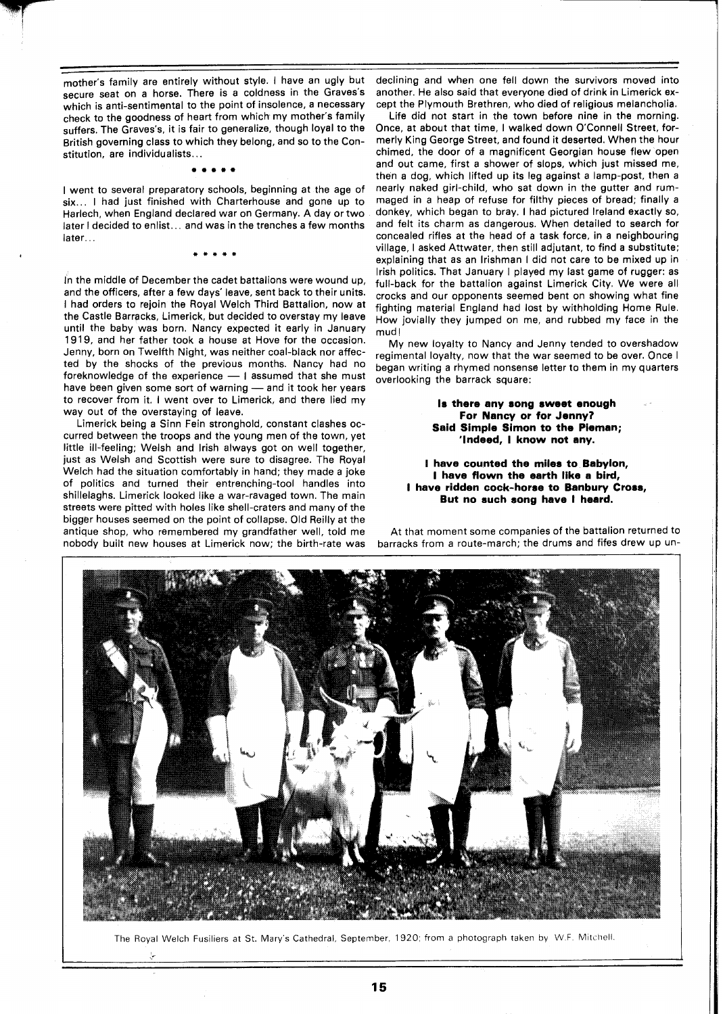mother's family are entirely without style. I have an ugly but secure seat on a horse. There is a coldness in the Graves's which is anti-sentimental to the point of insolence, a necessary check to the goodness of heart from which my mother's family suffers. The Graves's, it is fair to generalize, though loyal to the British governing class to which they belong, and so to the Constitution, are individualists.. .

I went to several preparatory schools, beginning at the age of six... I had just finished with Charterhouse and gone up to Harlech, when England declared war on Germany. A day or two later I decided to enlist.. . and was in the trenches a few months later...

In the middle of December the cadet battalions were wound up, and the officers, after a few days' leave, sent back to their units. I had orders to rejoin the Royal Welch Third Battalion, now at the Castle Barracks, Limerick, but decided to overstay my leave until the baby was born. Nancy expected it early in January 1919, and her father took a house at Hove for the occasion. Jenny, born on Twelfth Night, was neither coal-black nor affected by the shocks of the previous months. Nancy had no Jenny, born on Twelfth Night, was neither coal-black nor affected by the shocks of the previous months. Nancy had no<br>foreknowledge of the experience - I assumed that she must<br>have been given agent furtherming have been given something the previous months. Nancy had no<br>foreknowledge of the experience — I assumed that she must<br>have been given some sort of warning — and it took her years<br>to cheen from it, I want of warning — and i have been given some sort of warning - and it took her years<br>to recover from it. I went over to Limerick, and there lied my way out of the overstaying of leave.

Limerick being a Sinn Fein stronghold, constant clashes occurred between the troops and the young men of the town, yet little ill-feeling; Welsh and lrish always got on well together, just as Welsh and Scottish were sure to disagree. The Royal Welch had the situation comfortably in hand; they made a joke of politics and turned their entrenching-tool handles into shillelaghs. Limerick looked like a war-ravaged town. The main streets were pitted with holes like shell-craters and many of the bigger houses seemed on the point of collapse. Old Reilly at the antique shop, who remembered my grandfather well, told me nobody built new houses at Limerick now; the birth-rate was

declining and when one fell down the survivors moved into another. He also said that everyone died of drink in Limerick except the Plymouth Brethren, who died of religious melancholia.

Life did not start in the town before nine in the morning. Once, at about that time, I walked down O'Connell Street, formerly King George Street, and found it deserted. When the hour chimed, the door of a magnificent Georgian house flew open and out came, first a shower of slops, which just missed me, then a dog, which lifted up its leg against a lamp-post, then a nearly naked girl-child, who sat down in the gutter and rummaged in a heap of refuse for filthy pieces of bread; finally a donkey, which began to bray. I had pictured Ireland exactly so, and felt its charm as dangerous. When detailed to search for concealed rifles at the head of a task force, in a neighbouring village, I asked Attwater, then still adjutant, to find a substitute; explaining that as an Irishman I did not care to be mixed up in lrish politics. That January I played my last game of rugger: as full-back for the battalion against Limerick City. We were all crocks and our opponents seemed bent on showing what fine fighting material England had lost by withholding Home Rule. How jovially they jumped on me, and rubbed my face in the mud !

My new loyalty to Nancy and Jenny tended to overshadow regimental loyalty, now that the war seemed to be over. Once I began writing a rhymed nonsense letter to them in my quarters overlooking the barrack square:

### **Is there any song sweet enough For Nancy or for Jenny? Said Simple Simon to the Pieman; 'Indeed, I know not any.**

#### **I have counted the miles to Babylon, I have flown the earth like a bird, I have ridden cock-horse to Banbury Cross, But no such song have I heard.**

At that moment some companies of the battalion returned to barracks from a route-march; the drums and fifes drew up un-



The Royal Welch Fusiliers at St. Mary's Cathedral, September, 1920; from a photograph taken by W.F. Mitchell.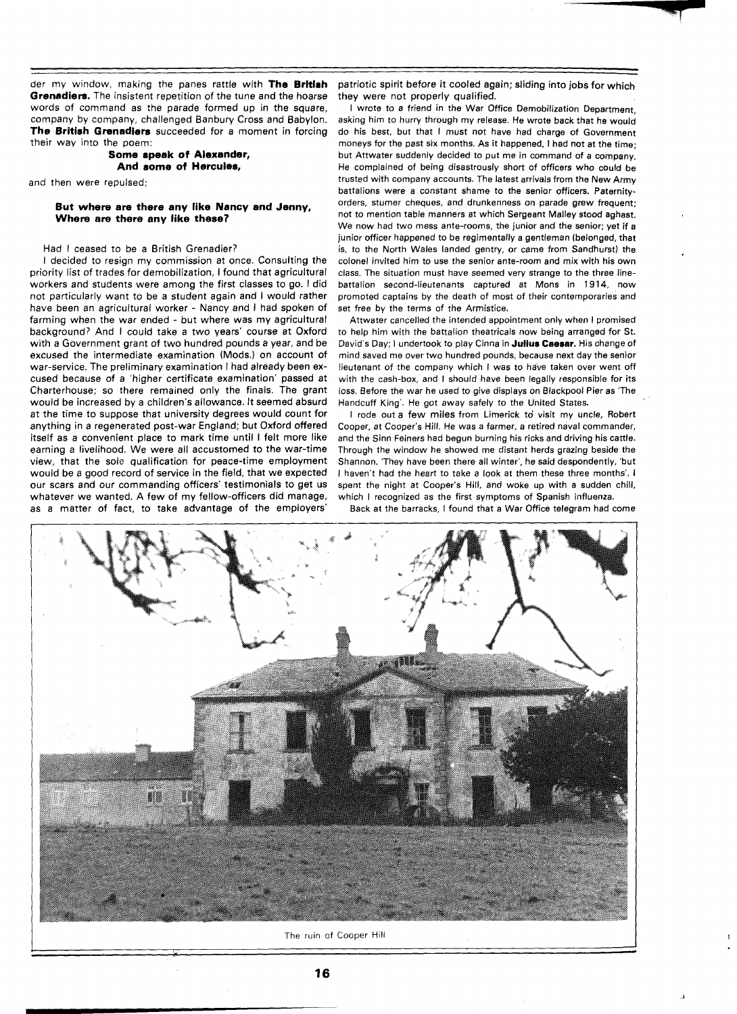der my window, making the panes rattle with **The Brithh Grenadiers.** The insistent repetition of the tune and the hoarse words of command as the parade formed up in the square, company by company, challenged Banbury Cross and Babylon. **The British Grenadiers** succeeded for a moment in forcing their way into the poem:

#### **Some speak of Alexander, And some of Hercuies,**

and then were repulsed:

### **But where are there any like Nancy and Jenny, Where are there any like these7**

Had I ceased to be a British Grenadier?

I decided to resign my commission at once. Consulting the priority list of trades for demobilization, I found that agricultural workers and students were among the first classes to go. I did not particularly want to be a student again and I would rather have been an agricultural worker - Nancy and I had spoken of farming when the war ended - but where was my agricultural background? And I could take a two years' course at Oxford with a Government grant of two hundred pounds a year, and be excused the intermediate examination (Mods.) on account of war-service. The preliminary examination I had already been excused because of a 'higher certificate examination' passed at Charterhouse; so there remained only the finals. The grant would be increased by a children's allowance. It seemed absurd at the time to suppose that university degrees would count for anything in a regenerated post-war England; but Oxford offered itself as a convenient place to mark time until I felt more like earning a livelihood. We were all accustomed to the war-time view, that the sole qualification for peace-time employment would be a good record of service in the field, that we expected our scars and our commanding officers' testimonials to get us whatever we wanted. A few of my fellow-officers did manage, as a matter of fact, to take advantage of the employers'

L

patriotic spirit before it cooled again; sliding into jobs for which they were not properly qualified.

I wrote to a friend in the War Office Demobilization Department, asking him to hurry through my release. He wrote back that he would do his best, but that I must not have had charge of Government moneys for the past six months. As it happened, I had not at the time; but Attwater suddenly decided to put me in command of a company. He complained of being disastrously short of officers who could be trusted with company accounts. The latest arrivals from the New Army battalions were a constant shame to the senior officers. Paternityorders, stumer cheques, and drunkenness on parade grew frequent; not to mention table manners at which Sergeant Malley stood aghast. We now had two mess ante-rooms, the junior and the senior; yet if a junior officer happened to be regimentally a gentleman (belonged, that is, to the North Wales landed gentry, or came from Sandhurst) the colonel invited him to use the senior ante-room and mix with his own class. The situation must have seemed very strange to the three linebattalion second-lieutenants captured at Mons in 1914, now promoted captains by the death of most of their contemporaries and set free by the terms of the Armistice.

Attwater cancelled the intended appointment only when I promised to help him with the battalion theatricals now being arranged for St. David's Day; I undertook to play Cinna in **Julius Caesar.** His change of mind saved me over two hundred pounds, because next day the senior lieutenant of the company which I was to have taken over went off with the cash-box, and I should have been legally responsible for its loss. Before the war he used to give displays on Blackpool Pier as 'The Handcuff King'. He got away safely to the United States.

I rode out a few miles from Limerick to visit my uncle, Robert Cooper, at Cooper's Hill. He was a farmer, a retired naval commander, and the Sinn Feiners had begun burning his ricks and driving his cattle. Through the window he showed me distant herds grazing beside the Shannon. 'They have been there all winter', he said despondently, 'but I haven't had the heart to take a look at them these three months'. I spent the night at Cooper's Hill, and woke up with a sudden chill, which I recognized as the first symptoms of Spanish influenza.

Back at the barracks, I found that a War Office telegram had come



The ruin of Cooper Hill